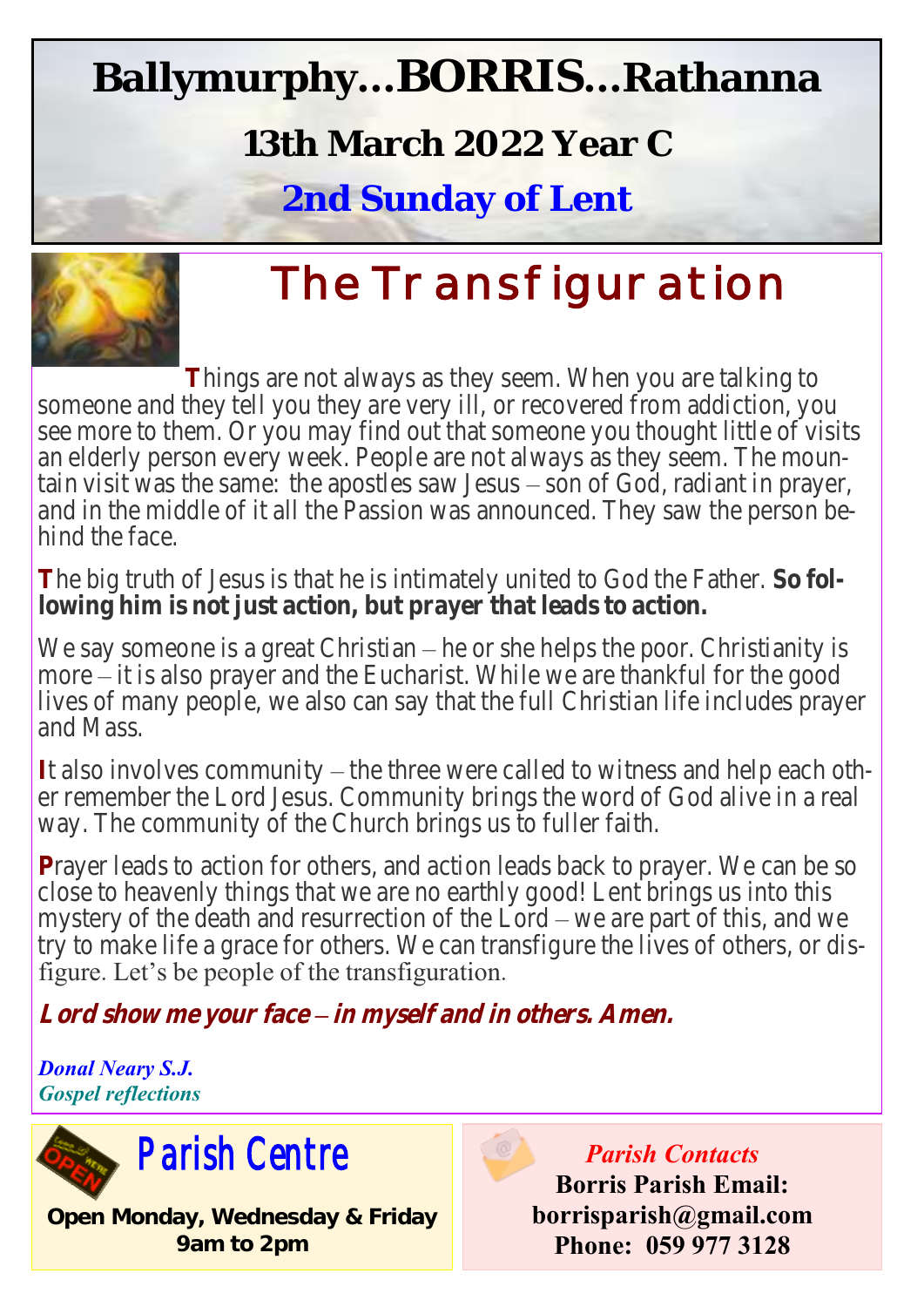# **Ballymurphy...BORRIS...Rathanna**

## **13th March 2022 Year C**

**2nd Sunday of Lent**



# **The Transfiguration**

**T**hings are not always as they seem. When you are talking to someone and they tell you they are very ill, or recovered from addiction, you see more to them. Or you may find out that someone you thought little of visits an elderly person every week. People are not always as they seem. The mountain visit was the same: the apostles saw Jesus – son of God, radiant in prayer, and in the middle of it all the Passion was announced. They saw the person behind the face.

**T**he big truth of Jesus is that he is intimately united to God the Father. **So following him is not just action, but prayer that leads to action.** 

We say someone is a great Christian – he or she helps the poor. Christianity is more – it is also prayer and the Eucharist. While we are thankful for the good lives of many people, we also can say that the full Christian life includes prayer and Mass.

**I**t also involves community – the three were called to witness and help each other remember the Lord Jesus. Community brings the word of God alive in a real way. The community of the Church brings us to fuller faith.

**P**rayer leads to action for others, and action leads back to prayer. We can be so close to heavenly things that we are no earthly good! Lent brings us into this mystery of the death and resurrection of the Lord – we are part of this, and we try to make life a grace for others. We can transfigure the lives of others, or disfigure. Let's be people of the transfiguration.

**Lord show me your face – in myself and in others. Amen.**

*Donal Neary S.J. Gospel reflections*



**Open Monday, Wednesday & Friday 9am to 2pm**

*Parish Contacts* **Borris Parish Email: borrisparish@gmail.com Phone: 059 977 3128**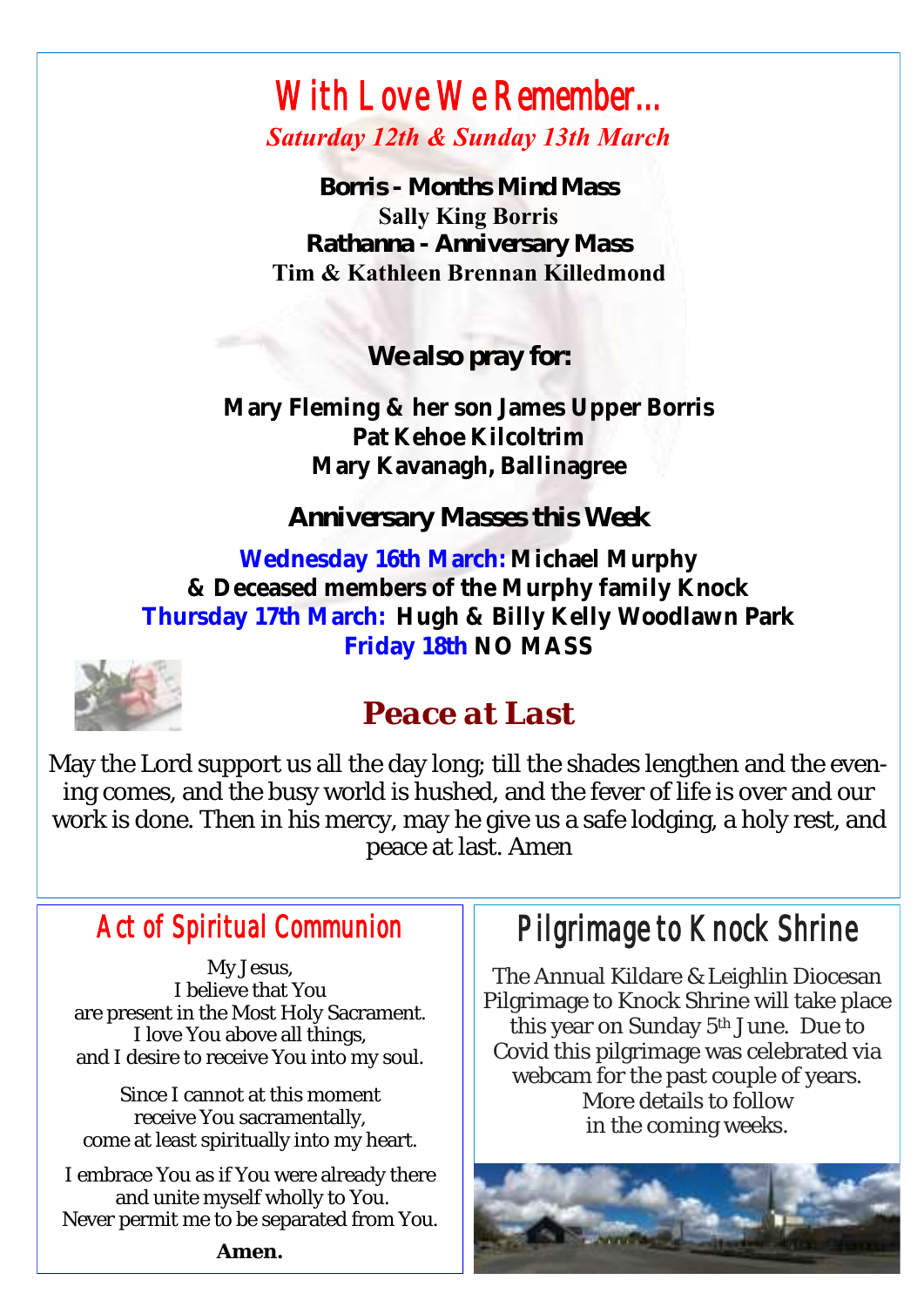### *With Love We Remember... Saturday 12th & Sunday 13th March*

*Borris - Months Mind Mass* **Sally King Borris** *Rathanna - Anniversary Mass* **Tim & Kathleen Brennan Killedmond**

*We also pray for:*

**Mary Fleming & her son James Upper Borris Pat Kehoe Kilcoltrim Mary Kavanagh, Ballinagree**

*Anniversary Masses this Week*

**Wednesday 16th March: Michael Murphy & Deceased members of the Murphy family Knock Thursday 17th March: Hugh & Billy Kelly Woodlawn Park Friday 18th NO MASS** 



## *Peace at Last*

May the Lord support us all the day long; till the shades lengthen and the evening comes, and the busy world is hushed, and the fever of life is over and our work is done. Then in his mercy, may he give us a safe lodging, a holy rest, and peace at last. Amen

### *Act of Spiritual Communion*

My Jesus, I believe that You are present in the Most Holy Sacrament. I love You above all things, and I desire to receive You into my soul.

Since I cannot at this moment receive You sacramentally, come at least spiritually into my heart.

I embrace You as if You were already there and unite myself wholly to You. Never permit me to be separated from You. *Pilgrimage to Knock Shrine* 

The Annual Kildare & Leighlin Diocesan Pilgrimage to Knock Shrine will take place this year on Sunday 5<sup>th</sup> June. Due to Covid this pilgrimage was celebrated via webcam for the past couple of years. More details to follow in the coming weeks.



**Amen.**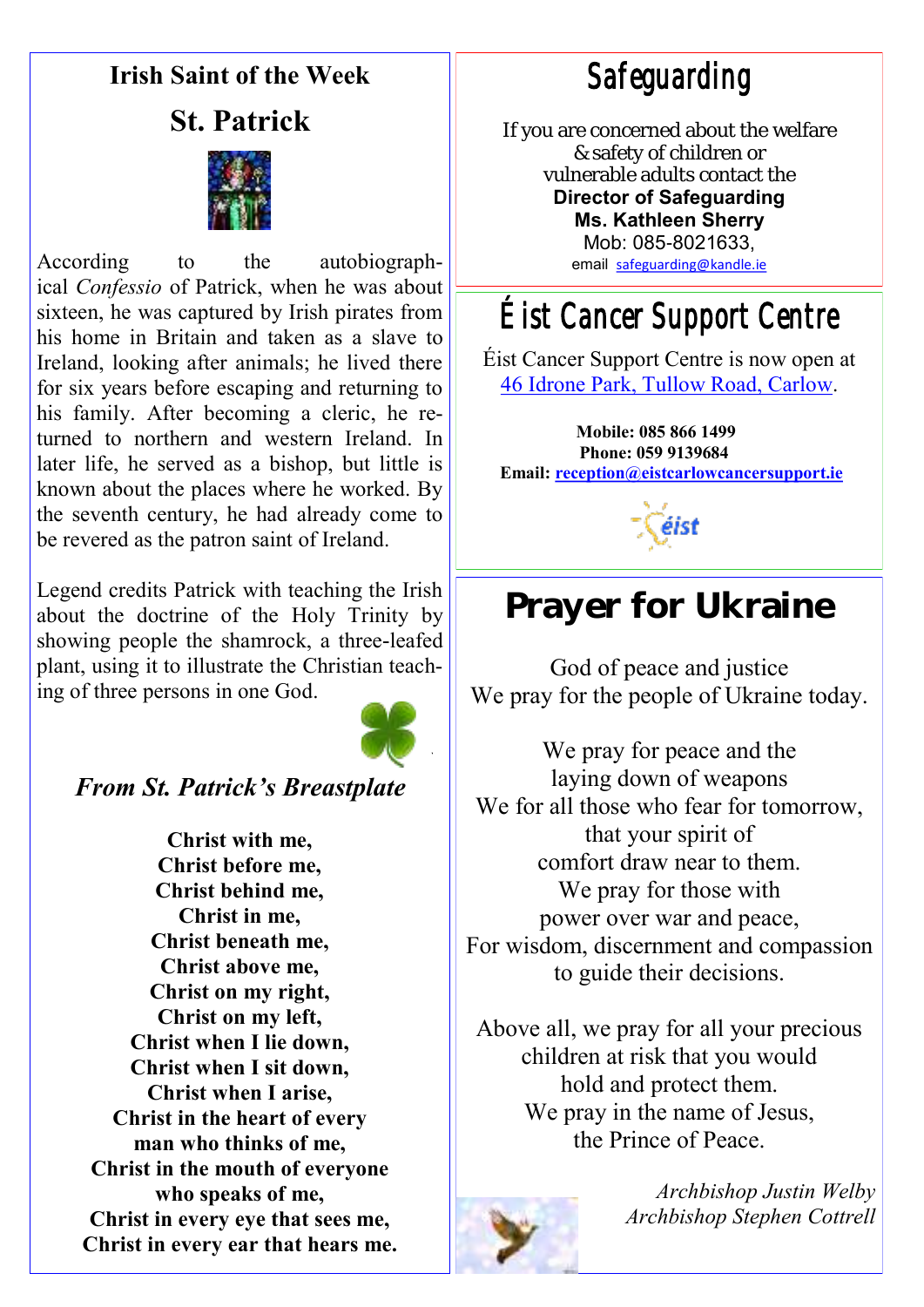#### **Irish Saint of the Week**

#### **St. Patrick**



According to the autobiographical *Confessio* of Patrick, when he was about sixteen, he was captured by Irish pirates from his home in Britain and taken as a [slave](https://en.wikipedia.org/wiki/Slavery_in_medieval_Europe) to Ireland, looking after animals; he lived there for six years before escaping and returning to his family. After becoming a cleric, he returned to northern and western Ireland. In later life, he served as a bishop, but little is known about the places where he worked. By the seventh century, he had already come to be revered as the patron saint of Ireland.

Legend credits Patrick with teaching the Irish about the doctrine of the Holy Trinity by showing people the shamrock, a three-leafed plant, using it to illustrate the Christian teaching of three persons in one God.



#### *From St. Patrick's Breastplate*

**Christ with me, Christ before me, Christ behind me, Christ in me, Christ beneath me, Christ above me, Christ on my right, Christ on my left, Christ when I lie down, Christ when I sit down, Christ when I arise, Christ in the heart of every man who thinks of me, Christ in the mouth of everyone who speaks of me, Christ in every eye that sees me, Christ in every ear that hears me.**

*Safeguarding* 

If you are concerned about the welfare & safety of children or vulnerable adults contact the **Director of Safeguarding Ms. Kathleen Sherry** 

> Mob: 085-8021633, email [safeguarding@kandle.ie](mailto:safeguarding@kandle.ie)

*Éist Cancer Support Centre* 

Éist Cancer Support Centre is now open at [46 Idrone Park, Tullow Road, Carlow.](https://www.google.com/maps/search/46+Idrone+Park,+Tullow+Road,+Carlow?entry=gmail&source=g) 

**Mobile: 085 866 1499 Phone: 059 9139684 Email: [reception@eistcarlowcancersupport.ie](https://mail.google.com/mail/u/0/h/1qtoezsqni0f/?&cs=wh&v=b&to=reception@eistcarlowcancersupport.ie)**

éist

### Prayer for Ukraine

God of peace and justice We pray for the people of Ukraine today.

We pray for peace and the laying down of weapons We for all those who fear for tomorrow, that your spirit of comfort draw near to them. We pray for those with power over war and peace, For wisdom, discernment and compassion to guide their decisions.

Above all, we pray for all your precious children at risk that you would hold and protect them. We pray in the name of Jesus, the Prince of Peace.



*Archbishop Justin Welby Archbishop Stephen Cottrell*